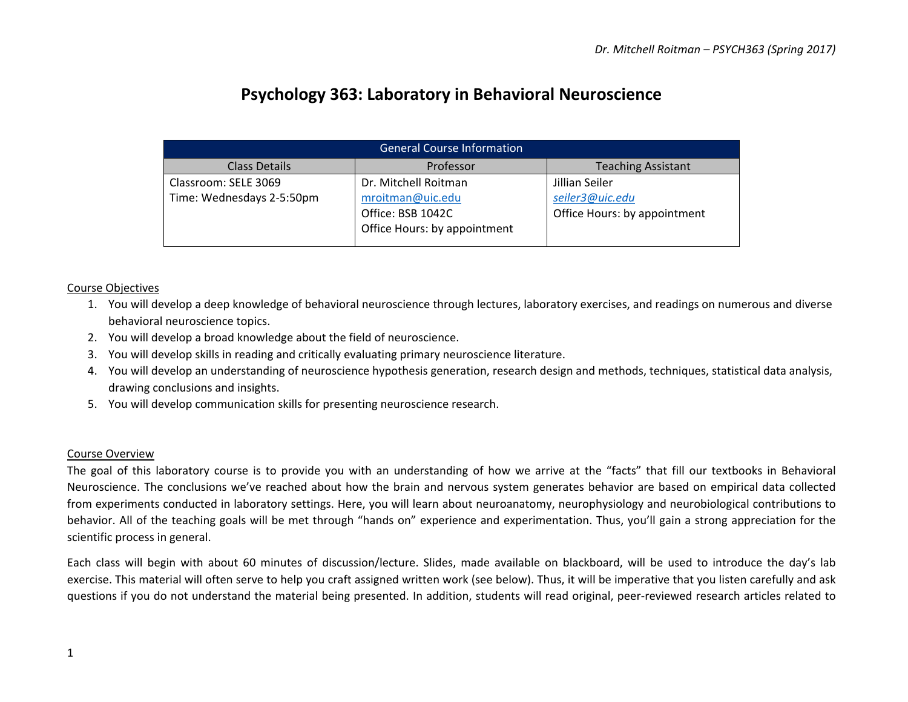# **Psychology 363: Laboratory in Behavioral Neuroscience**

| <b>General Course Information</b> |                              |                              |  |  |  |  |
|-----------------------------------|------------------------------|------------------------------|--|--|--|--|
| <b>Class Details</b>              | Professor                    | <b>Teaching Assistant</b>    |  |  |  |  |
| Classroom: SELE 3069              | Dr. Mitchell Roitman         | Jillian Seiler               |  |  |  |  |
| Time: Wednesdays 2-5:50pm         | mroitman@uic.edu             | seiler3@uic.edu              |  |  |  |  |
|                                   | Office: BSB 1042C            | Office Hours: by appointment |  |  |  |  |
|                                   | Office Hours: by appointment |                              |  |  |  |  |
|                                   |                              |                              |  |  |  |  |

#### Course Objectives

- 1. You will develop a deep knowledge of behavioral neuroscience through lectures, laboratory exercises, and readings on numerous and diverse behavioral neuroscience topics.
- 2. You will develop a broad knowledge about the field of neuroscience.
- 3. You will develop skills in reading and critically evaluating primary neuroscience literature.
- 4. You will develop an understanding of neuroscience hypothesis generation, research design and methods, techniques, statistical data analysis, drawing conclusions and insights.
- 5. You will develop communication skills for presenting neuroscience research.

#### Course Overview

The goal of this laboratory course is to provide you with an understanding of how we arrive at the "facts" that fill our textbooks in Behavioral Neuroscience. The conclusions we've reached about how the brain and nervous system generates behavior are based on empirical data collected from experiments conducted in laboratory settings. Here, you will learn about neuroanatomy, neurophysiology and neurobiological contributions to behavior. All of the teaching goals will be met through "hands on" experience and experimentation. Thus, you'll gain a strong appreciation for the scientific process in general.

Each class will begin with about 60 minutes of discussion/lecture. Slides, made available on blackboard, will be used to introduce the day's lab exercise. This material will often serve to help you craft assigned written work (see below). Thus, it will be imperative that you listen carefully and ask questions if you do not understand the material being presented. In addition, students will read original, peer-reviewed research articles related to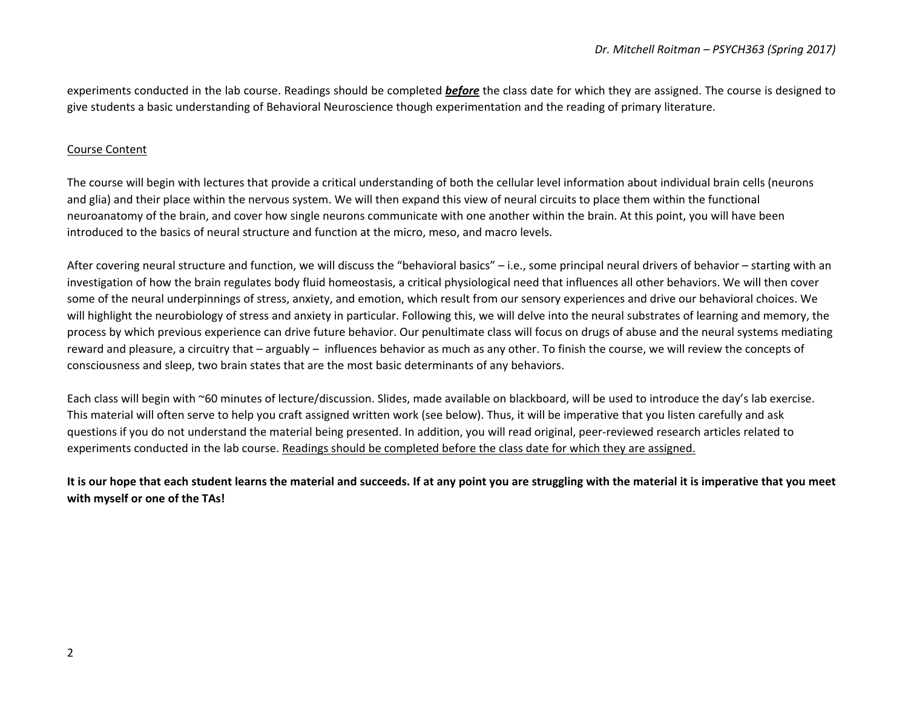experiments conducted in the lab course. Readings should be completed **before** the class date for which they are assigned. The course is designed to give students a basic understanding of Behavioral Neuroscience though experimentation and the reading of primary literature.

#### Course Content

The course will begin with lectures that provide a critical understanding of both the cellular level information about individual brain cells (neurons and glia) and their place within the nervous system. We will then expand this view of neural circuits to place them within the functional neuroanatomy of the brain, and cover how single neurons communicate with one another within the brain. At this point, you will have been introduced to the basics of neural structure and function at the micro, meso, and macro levels.

After covering neural structure and function, we will discuss the "behavioral basics"  $-$  i.e., some principal neural drivers of behavior  $-$  starting with an investigation of how the brain regulates body fluid homeostasis, a critical physiological need that influences all other behaviors. We will then cover some of the neural underpinnings of stress, anxiety, and emotion, which result from our sensory experiences and drive our behavioral choices. We will highlight the neurobiology of stress and anxiety in particular. Following this, we will delve into the neural substrates of learning and memory, the process by which previous experience can drive future behavior. Our penultimate class will focus on drugs of abuse and the neural systems mediating reward and pleasure, a circuitry that – arguably – influences behavior as much as any other. To finish the course, we will review the concepts of consciousness and sleep, two brain states that are the most basic determinants of any behaviors.

Each class will begin with ~60 minutes of lecture/discussion. Slides, made available on blackboard, will be used to introduce the day's lab exercise. This material will often serve to help you craft assigned written work (see below). Thus, it will be imperative that you listen carefully and ask questions if you do not understand the material being presented. In addition, you will read original, peer-reviewed research articles related to experiments conducted in the lab course. Readings should be completed before the class date for which they are assigned.

It is our hope that each student learns the material and succeeds. If at any point you are struggling with the material it is imperative that you meet with myself or one of the TAs!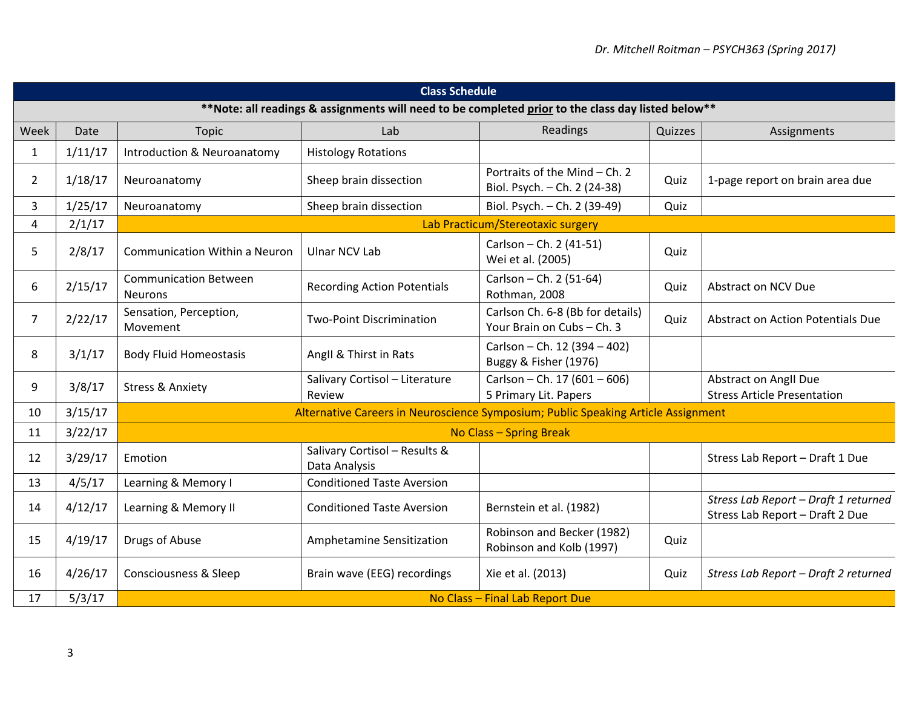| <b>Class Schedule</b>                                                                               |         |                                                                                   |                                                |                                                                |         |                                                                         |  |  |
|-----------------------------------------------------------------------------------------------------|---------|-----------------------------------------------------------------------------------|------------------------------------------------|----------------------------------------------------------------|---------|-------------------------------------------------------------------------|--|--|
| ** Note: all readings & assignments will need to be completed prior to the class day listed below** |         |                                                                                   |                                                |                                                                |         |                                                                         |  |  |
| Week                                                                                                | Date    | <b>Topic</b>                                                                      | Lab                                            | Readings                                                       | Quizzes | Assignments                                                             |  |  |
| $\mathbf{1}$                                                                                        | 1/11/17 | Introduction & Neuroanatomy                                                       | <b>Histology Rotations</b>                     |                                                                |         |                                                                         |  |  |
| $\overline{2}$                                                                                      | 1/18/17 | Neuroanatomy                                                                      | Sheep brain dissection                         | Portraits of the Mind - Ch. 2<br>Biol. Psych. - Ch. 2 (24-38)  | Quiz    | 1-page report on brain area due                                         |  |  |
| 3                                                                                                   | 1/25/17 | Neuroanatomy                                                                      | Sheep brain dissection                         | Biol. Psych. - Ch. 2 (39-49)                                   | Quiz    |                                                                         |  |  |
| 4                                                                                                   | 2/1/17  |                                                                                   | Lab Practicum/Stereotaxic surgery              |                                                                |         |                                                                         |  |  |
| 5                                                                                                   | 2/8/17  | <b>Communication Within a Neuron</b>                                              | <b>Ulnar NCV Lab</b>                           | Carlson - Ch. 2 (41-51)<br>Wei et al. (2005)                   | Quiz    |                                                                         |  |  |
| 6                                                                                                   | 2/15/17 | <b>Communication Between</b><br><b>Neurons</b>                                    | <b>Recording Action Potentials</b>             | Carlson - Ch. 2 (51-64)<br>Rothman, 2008                       | Quiz    | Abstract on NCV Due                                                     |  |  |
| $\overline{7}$                                                                                      | 2/22/17 | Sensation, Perception,<br>Movement                                                | <b>Two-Point Discrimination</b>                | Carlson Ch. 6-8 (Bb for details)<br>Your Brain on Cubs - Ch. 3 | Quiz    | Abstract on Action Potentials Due                                       |  |  |
| 8                                                                                                   | 3/1/17  | <b>Body Fluid Homeostasis</b>                                                     | Angll & Thirst in Rats                         | Carlson - Ch. 12 (394 - 402)<br>Buggy & Fisher (1976)          |         |                                                                         |  |  |
| 9                                                                                                   | 3/8/17  | <b>Stress &amp; Anxiety</b>                                                       | Salivary Cortisol - Literature<br>Review       | Carlson - Ch. 17 (601 - 606)<br>5 Primary Lit. Papers          |         | Abstract on Angll Due<br><b>Stress Article Presentation</b>             |  |  |
| 10                                                                                                  | 3/15/17 | Alternative Careers in Neuroscience Symposium; Public Speaking Article Assignment |                                                |                                                                |         |                                                                         |  |  |
| 11                                                                                                  | 3/22/17 |                                                                                   | No Class - Spring Break                        |                                                                |         |                                                                         |  |  |
| 12                                                                                                  | 3/29/17 | Emotion                                                                           | Salivary Cortisol - Results &<br>Data Analysis |                                                                |         | Stress Lab Report - Draft 1 Due                                         |  |  |
| 13                                                                                                  | 4/5/17  | Learning & Memory I                                                               | <b>Conditioned Taste Aversion</b>              |                                                                |         |                                                                         |  |  |
| 14                                                                                                  | 4/12/17 | Learning & Memory II                                                              | <b>Conditioned Taste Aversion</b>              | Bernstein et al. (1982)                                        |         | Stress Lab Report - Draft 1 returned<br>Stress Lab Report - Draft 2 Due |  |  |
| 15                                                                                                  | 4/19/17 | Drugs of Abuse                                                                    | Amphetamine Sensitization                      | Robinson and Becker (1982)<br>Robinson and Kolb (1997)         | Quiz    |                                                                         |  |  |
| 16                                                                                                  | 4/26/17 | <b>Consciousness &amp; Sleep</b>                                                  | Brain wave (EEG) recordings                    | Xie et al. (2013)                                              | Quiz    | Stress Lab Report - Draft 2 returned                                    |  |  |
| 17                                                                                                  | 5/3/17  |                                                                                   |                                                | No Class - Final Lab Report Due                                |         |                                                                         |  |  |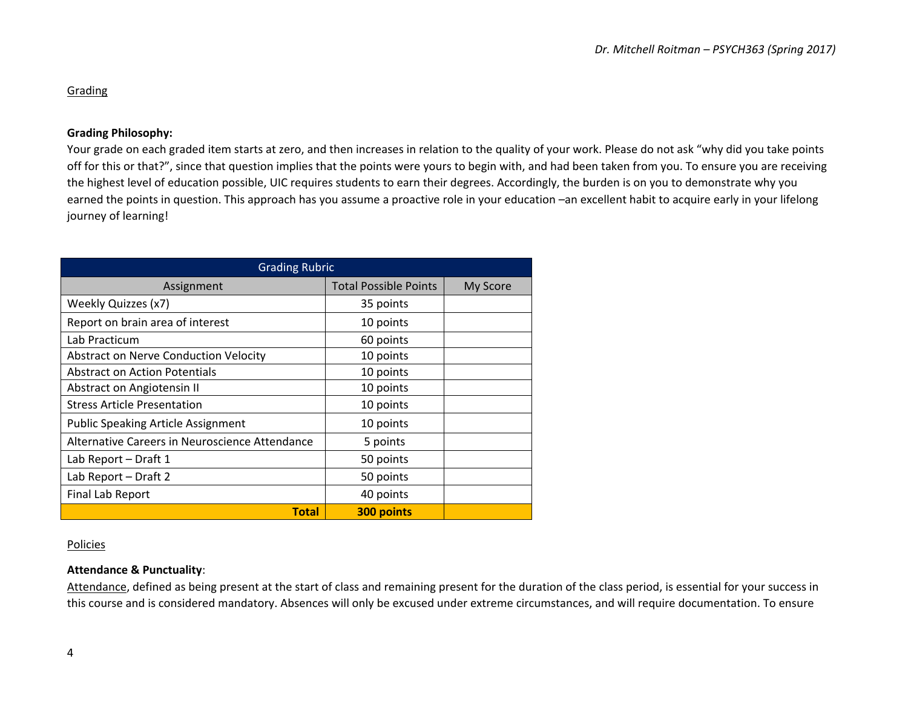# **Grading**

# **Grading Philosophy:**

Your grade on each graded item starts at zero, and then increases in relation to the quality of your work. Please do not ask "why did you take points off for this or that?", since that question implies that the points were yours to begin with, and had been taken from you. To ensure you are receiving the highest level of education possible, UIC requires students to earn their degrees. Accordingly, the burden is on you to demonstrate why you earned the points in question. This approach has you assume a proactive role in your education –an excellent habit to acquire early in your lifelong journey of learning!

| <b>Grading Rubric</b>                          |                              |          |  |  |  |  |
|------------------------------------------------|------------------------------|----------|--|--|--|--|
| Assignment                                     | <b>Total Possible Points</b> | My Score |  |  |  |  |
| Weekly Quizzes (x7)                            | 35 points                    |          |  |  |  |  |
| Report on brain area of interest               | 10 points                    |          |  |  |  |  |
| Lab Practicum                                  | 60 points                    |          |  |  |  |  |
| Abstract on Nerve Conduction Velocity          | 10 points                    |          |  |  |  |  |
| <b>Abstract on Action Potentials</b>           | 10 points                    |          |  |  |  |  |
| Abstract on Angiotensin II                     | 10 points                    |          |  |  |  |  |
| <b>Stress Article Presentation</b>             | 10 points                    |          |  |  |  |  |
| <b>Public Speaking Article Assignment</b>      | 10 points                    |          |  |  |  |  |
| Alternative Careers in Neuroscience Attendance | 5 points                     |          |  |  |  |  |
| Lab Report - Draft 1                           | 50 points                    |          |  |  |  |  |
| Lab Report - Draft 2                           | 50 points                    |          |  |  |  |  |
| Final Lab Report                               | 40 points                    |          |  |  |  |  |
| <b>Total</b>                                   | 300 points                   |          |  |  |  |  |

#### **Policies**

# **Attendance & Punctuality**:

Attendance, defined as being present at the start of class and remaining present for the duration of the class period, is essential for your success in this course and is considered mandatory. Absences will only be excused under extreme circumstances, and will require documentation. To ensure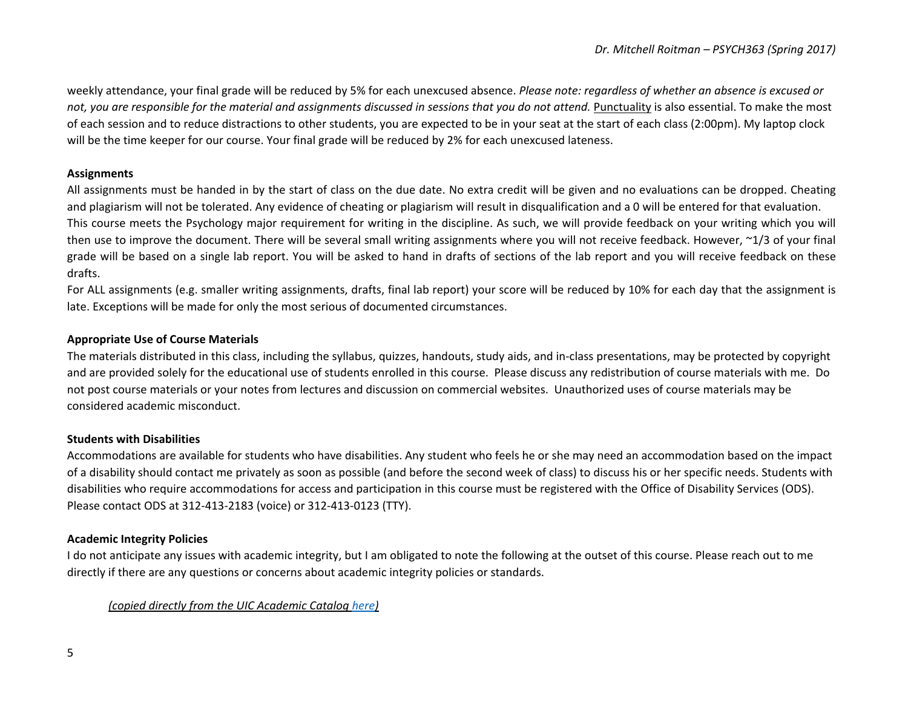weekly attendance, your final grade will be reduced by 5% for each unexcused absence. *Please note: regardless of whether an absence is excused or* not, you are responsible for the material and assignments discussed in sessions that you do not attend. Punctuality is also essential. To make the most of each session and to reduce distractions to other students, you are expected to be in your seat at the start of each class (2:00pm). My laptop clock will be the time keeper for our course. Your final grade will be reduced by 2% for each unexcused lateness.

#### **Assignments**

All assignments must be handed in by the start of class on the due date. No extra credit will be given and no evaluations can be dropped. Cheating and plagiarism will not be tolerated. Any evidence of cheating or plagiarism will result in disqualification and a 0 will be entered for that evaluation. This course meets the Psychology major requirement for writing in the discipline. As such, we will provide feedback on your writing which you will then use to improve the document. There will be several small writing assignments where you will not receive feedback. However,  $\approx$ 1/3 of your final grade will be based on a single lab report. You will be asked to hand in drafts of sections of the lab report and you will receive feedback on these drafts. 

For ALL assignments (e.g. smaller writing assignments, drafts, final lab report) your score will be reduced by 10% for each day that the assignment is late. Exceptions will be made for only the most serious of documented circumstances.

# **Appropriate Use of Course Materials**

The materials distributed in this class, including the syllabus, quizzes, handouts, study aids, and in-class presentations, may be protected by copyright and are provided solely for the educational use of students enrolled in this course. Please discuss any redistribution of course materials with me. Do not post course materials or vour notes from lectures and discussion on commercial websites. Unauthorized uses of course materials may be considered academic misconduct.

# **Students with Disabilities**

Accommodations are available for students who have disabilities. Any student who feels he or she may need an accommodation based on the impact of a disability should contact me privately as soon as possible (and before the second week of class) to discuss his or her specific needs. Students with disabilities who require accommodations for access and participation in this course must be registered with the Office of Disability Services (ODS). Please contact ODS at 312-413-2183 (voice) or 312-413-0123 (TTY).

# **Academic Integrity Policies**

I do not anticipate any issues with academic integrity, but I am obligated to note the following at the outset of this course. Please reach out to me directly if there are any questions or concerns about academic integrity policies or standards.

*(copied directly from the UIC Academic Catalog here)*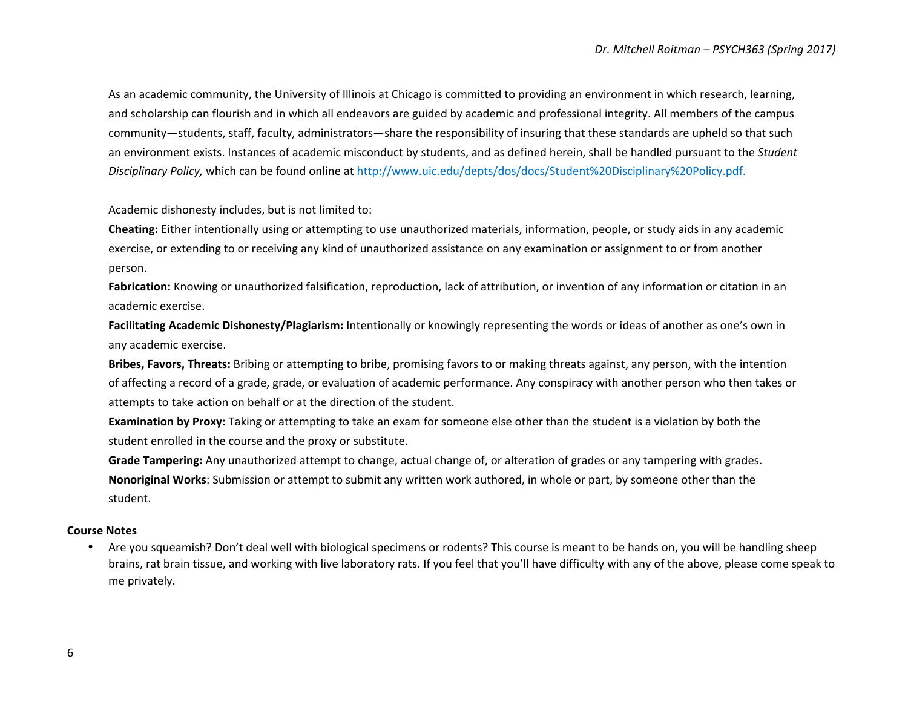As an academic community, the University of Illinois at Chicago is committed to providing an environment in which research, learning, and scholarship can flourish and in which all endeavors are guided by academic and professional integrity. All members of the campus community—students, staff, faculty, administrators—share the responsibility of insuring that these standards are upheld so that such an environment exists. Instances of academic misconduct by students, and as defined herein, shall be handled pursuant to the *Student Disciplinary Policy,* which can be found online at http://www.uic.edu/depts/dos/docs/Student%20Disciplinary%20Policy.pdf.

Academic dishonesty includes, but is not limited to:

**Cheating:** Either intentionally using or attempting to use unauthorized materials, information, people, or study aids in any academic exercise, or extending to or receiving any kind of unauthorized assistance on any examination or assignment to or from another person.

**Fabrication:** Knowing or unauthorized falsification, reproduction, lack of attribution, or invention of any information or citation in an academic exercise.

**Facilitating Academic Dishonesty/Plagiarism:** Intentionally or knowingly representing the words or ideas of another as one's own in any academic exercise.

**Bribes, Favors, Threats:** Bribing or attempting to bribe, promising favors to or making threats against, any person, with the intention of affecting a record of a grade, grade, or evaluation of academic performance. Any conspiracy with another person who then takes or attempts to take action on behalf or at the direction of the student.

**Examination by Proxy:** Taking or attempting to take an exam for someone else other than the student is a violation by both the student enrolled in the course and the proxy or substitute.

**Grade Tampering:** Any unauthorized attempt to change, actual change of, or alteration of grades or any tampering with grades. **Nonoriginal Works**: Submission or attempt to submit any written work authored, in whole or part, by someone other than the student.

#### **Course Notes**

• Are you squeamish? Don't deal well with biological specimens or rodents? This course is meant to be hands on, you will be handling sheep brains, rat brain tissue, and working with live laboratory rats. If you feel that you'll have difficulty with any of the above, please come speak to me privately.